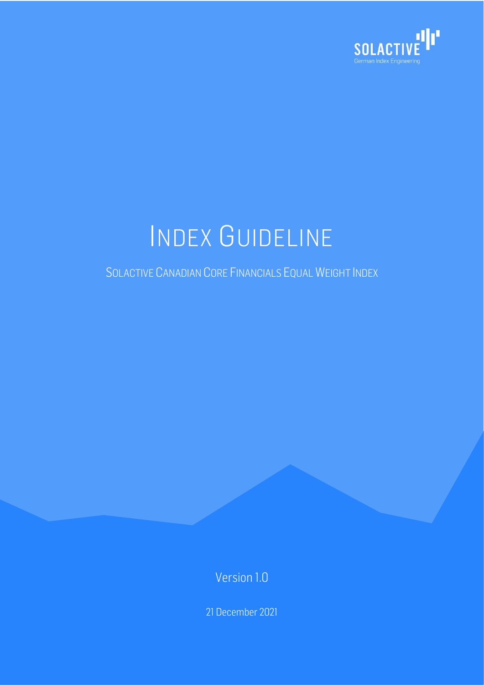

# INDEX GUIDELINE

#### SOLACTIVE CANADIAN CORE FINANCIALS EQUAL WEIGHT INDEX

Version 1.0

21 December 2021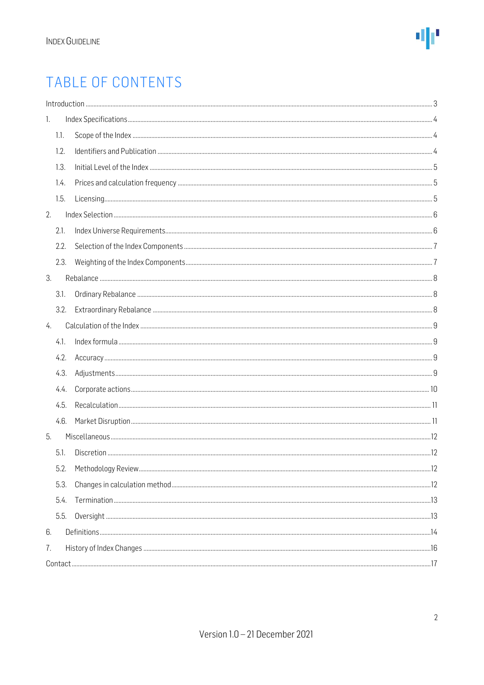### TABLE OF CONTENTS

| 1. |      |  |  |  |  |  |
|----|------|--|--|--|--|--|
|    | 1.1. |  |  |  |  |  |
|    | 1.2. |  |  |  |  |  |
|    | 1.3. |  |  |  |  |  |
|    | 1.4. |  |  |  |  |  |
|    | 1.5. |  |  |  |  |  |
| 2. |      |  |  |  |  |  |
|    | 2.1. |  |  |  |  |  |
|    | 2.2. |  |  |  |  |  |
|    | 2.3. |  |  |  |  |  |
| 3. |      |  |  |  |  |  |
|    | 3.1. |  |  |  |  |  |
|    | 3.2. |  |  |  |  |  |
| 4. |      |  |  |  |  |  |
|    | 4.1. |  |  |  |  |  |
|    | 4.2. |  |  |  |  |  |
|    | 4.3. |  |  |  |  |  |
|    | 4.4. |  |  |  |  |  |
|    | 4.5. |  |  |  |  |  |
|    | 4.6. |  |  |  |  |  |
| 5. |      |  |  |  |  |  |
|    | 5.1. |  |  |  |  |  |
|    | 5.2. |  |  |  |  |  |
|    | 5.3. |  |  |  |  |  |
|    | 5.4. |  |  |  |  |  |
|    | 5.5. |  |  |  |  |  |
| 6. |      |  |  |  |  |  |
| 7. |      |  |  |  |  |  |
|    |      |  |  |  |  |  |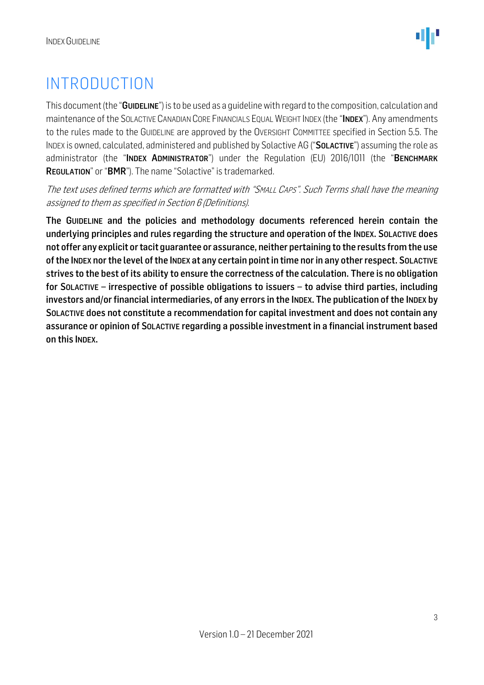### <span id="page-2-0"></span>INTRODUCTION

This document (the "GUIDELINE") is to be used as a quideline with regard to the composition, calculation and maintenance of the SOLACTIVE CANADIAN CORE FINANCIALS EQUAL WEIGHT INDEX (the "INDEX"). Any amendments to the rules made to the GUIDELINE are approved by the OVERSIGHT COMMITTEE specified in Section 5.5. The INDEX is owned, calculated, administered and published by Solactive AG ("SOLACTIVE") assuming the role as administrator (the "INDEX ADMINISTRATOR") under the Regulation (EU) 2016/1011 (the "BENCHMARK REGULATION" or "BMR"). The name "Solactive" is trademarked.

The text uses defined terms which are formatted with "SMALL CAPS". Such Terms shall have the meaning assigned to them as specified in Section 6 (Definitions).

The GUIDELINE and the policies and methodology documents referenced herein contain the underlying principles and rules regarding the structure and operation of the INDEX. SOLACTIVE does not offer any explicit or tacit guarantee or assurance, neither pertaining to the results from the use of the INDEX nor the level of the INDEX at any certain point in time nor in any other respect. SOLACTIVE strives to the best of its ability to ensure the correctness of the calculation. There is no obligation for SOLACTIVE – irrespective of possible obligations to issuers – to advise third parties, including investors and/or financial intermediaries, of any errors in the INDEX. The publication of the INDEX by SOLACTIVE does not constitute a recommendation for capital investment and does not contain any assurance or opinion of SOLACTIVE regarding a possible investment in a financial instrument based on this INDEX.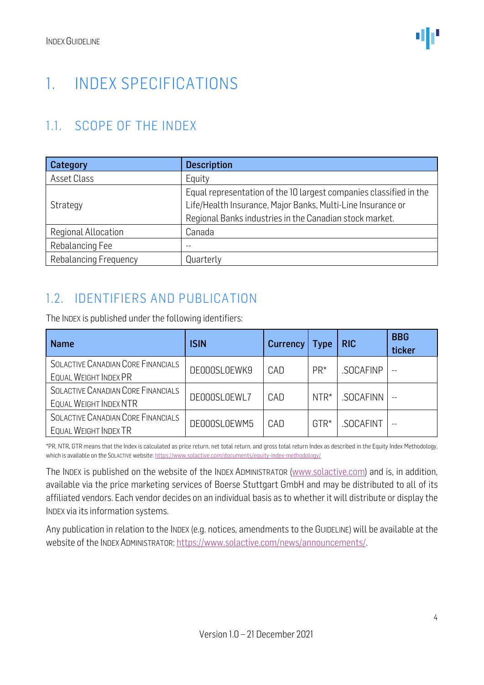### <span id="page-3-0"></span>1. INDEX SPECIFICATIONS

#### <span id="page-3-1"></span>1.1. SCOPE OF THE INDEX

| Category              | <b>Description</b>                                                                                                                                                                           |  |  |  |
|-----------------------|----------------------------------------------------------------------------------------------------------------------------------------------------------------------------------------------|--|--|--|
| Asset Class           | Equity                                                                                                                                                                                       |  |  |  |
| Strategy              | Equal representation of the 10 largest companies classified in the<br>Life/Health Insurance, Major Banks, Multi-Line Insurance or<br>Regional Banks industries in the Canadian stock market. |  |  |  |
| Regional Allocation   | Canada                                                                                                                                                                                       |  |  |  |
| Rebalancing Fee       | $- -$                                                                                                                                                                                        |  |  |  |
| Rebalancing Frequency | Quarterly                                                                                                                                                                                    |  |  |  |

#### <span id="page-3-2"></span>1.2. IDENTIFIERS AND PUBLICATION

The INDEX is published under the following identifiers:

| <b>Name</b>                                                  | <b>ISIN</b>  | <b>Currency</b> | <b>Type</b> | <b>RIC</b> | <b>BBG</b><br>ticker |
|--------------------------------------------------------------|--------------|-----------------|-------------|------------|----------------------|
| SOLACTIVE CANADIAN CORE FINANCIALS<br>EQUAL WEIGHT INDEX PR  | DE000SL0EWK9 | CAD             | $PR*$       | .SOCAFINP  | $- -$                |
| SOLACTIVE CANADIAN CORE FINANCIALS<br>EQUAL WEIGHT INDEX NTR | DE000SL0EWL7 | CAD             | $NTR*$      | .SOCAFINN  |                      |
| SOLACTIVE CANADIAN CORE FINANCIALS<br>EQUAL WEIGHT INDEX TR  | DE000SL0EWM5 | CAD             | $GTR*$      | .SOCAFINT  |                      |

\*PR, NTR, GTR means that the Index is calculated as price return, net total return, and gross total return Index as described in the Equity Index Methodology, which is available on the SOLACTIVE website[: https://www.solactive.com/documents/equity-index-methodology/](https://www.solactive.com/documents/equity-index-methodology/)

The INDEX is published on the website of the INDEX ADMINISTRATOR [\(www.solactive.com\)](http://www.solactive.com/) and is, in addition, available via the price marketing services of Boerse Stuttgart GmbH and may be distributed to all of its affiliated vendors. Each vendor decides on an individual basis as to whether it will distribute or display the INDEX via its information systems.

Any publication in relation to the INDEX (e.g. notices, amendments to the GUIDELINE) will be available at the website of the INDEX ADMINISTRATOR: [https://www.solactive.com/news/announcements/.](https://www.solactive.com/news/announcements/)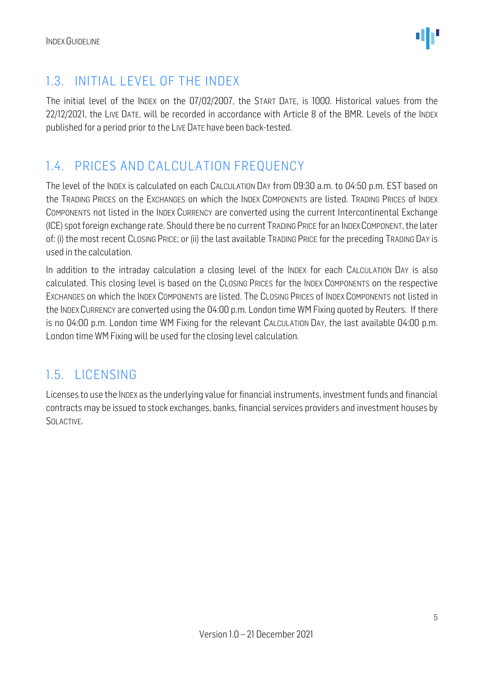

#### <span id="page-4-0"></span>1.3. INITIAL LEVEL OF THE INDEX

The initial level of the INDEX on the 07/02/2007, the START DATE, is 1000. Historical values from the 22/12/2021, the LIVE DATE, will be recorded in accordance with Article 8 of the BMR. Levels of the INDEX published for a period prior to the LIVE DATE have been back-tested.

#### <span id="page-4-1"></span>1.4. PRICES AND CALCULATION FREQUENCY

The level of the INDEX is calculated on each CALCULATION DAY from 09:30 a.m. to 04:50 p.m. EST based on the TRADING PRICES on the EXCHANGES on which the INDEX COMPONENTS are listed. TRADING PRICES of INDEX COMPONENTS not listed in the INDEX CURRENCY are converted using the current Intercontinental Exchange (ICE) spot foreign exchange rate. Should there be no current TRADING PRICE for an INDEXCOMPONENT, the later of: (i) the most recent CLOSING PRICE; or (ii) the last available TRADING PRICE for the preceding TRADING DAY is used in the calculation.

In addition to the intraday calculation a closing level of the INDEX for each CALCULATION DAY is also calculated. This closing level is based on the CLOSING PRICES for the INDEX COMPONENTS on the respective EXCHANGES on which the INDEX COMPONENTS are listed. The CLOSING PRICES of INDEX COMPONENTS not listed in the INDEX CURRENCY are converted using the 04:00 p.m. London time WM Fixing quoted by Reuters. If there is no 04:00 p.m. London time WM Fixing for the relevant CALCULATION DAY, the last available 04:00 p.m. London time WM Fixing will be used for the closing level calculation.

#### <span id="page-4-2"></span>1.5. LICENSING

Licenses to use the INDEX as the underlying value for financial instruments, investment funds and financial contracts may be issued to stock exchanges, banks, financial services providers and investment houses by SOLACTIVE.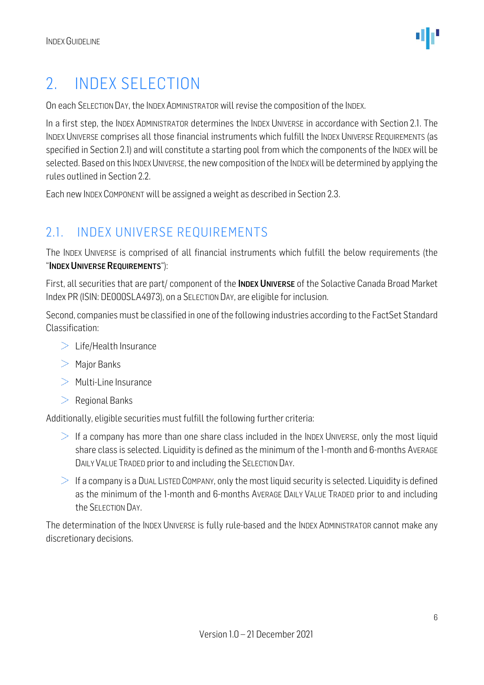### <span id="page-5-0"></span>2. INDEX SELECTION

On each SELECTION DAY, the INDEX ADMINISTRATOR will revise the composition of the INDEX.

In a first step, the INDEX ADMINISTRATOR determines the INDEX UNIVERSE in accordance with Section 2.1. The INDEX UNIVERSE comprises all those financial instruments which fulfill the INDEX UNIVERSE REQUIREMENTS (as specified in Section 2.1) and will constitute a starting pool from which the components of the INDEX will be selected. Based on this INDEX UNIVERSE, the new composition of the INDEX will be determined by applying the rules outlined in Section 2.2.

Each new INDEX COMPONENT will be assigned a weight as described in Section 2.3.

#### <span id="page-5-1"></span>2.1. INDEX UNIVERSE REQUIREMENTS

The INDEX UNIVERSE is comprised of all financial instruments which fulfill the below requirements (the "INDEX UNIVERSE REQUIREMENTS"):

First, all securities that are part/ component of the **INDEX UNIVERSE** of the Solactive Canada Broad Market Index PR (ISIN: DE000SLA4973), on a SELECTION DAY, are eligible for inclusion.

Second, companies must be classified in one of the following industries according to the FactSet Standard Classification:

- $>$  Life/Health Insurance
- $>$  Major Banks
- $>$  Multi-Line Insurance
- $\geq$  Regional Banks

Additionally, eligible securities must fulfill the following further criteria:

- $\ge$  If a company has more than one share class included in the INDEX UNIVERSE, only the most liquid share class is selected. Liquidity is defined as the minimum of the 1-month and 6-months AVERAGE DAILY VALUE TRADED prior to and including the SELECTION DAY.
- $\geq$  If a company is a DUAL LISTED COMPANY, only the most liquid security is selected. Liquidity is defined as the minimum of the 1-month and 6-months AVERAGE DAILY VALUE TRADED prior to and including the SELECTION DAY.

The determination of the INDEX UNIVERSE is fully rule-based and the INDEX ADMINISTRATOR cannot make any discretionary decisions.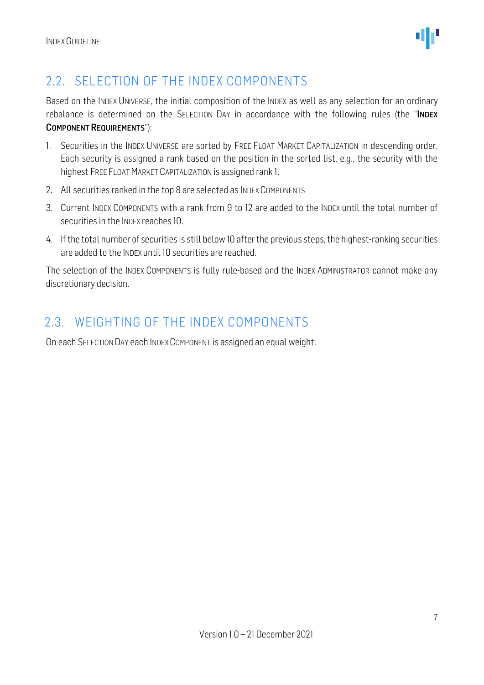

#### <span id="page-6-0"></span>2.2. SELECTION OF THE INDEX COMPONENTS

Based on the INDEX UNIVERSE, the initial composition of the INDEX as well as any selection for an ordinary rebalance is determined on the SELECTION DAY in accordance with the following rules (the "INDEX COMPONENT REQUIREMENTS"):

- 1. Securities in the INDEX UNIVERSE are sorted by FREE FLOAT MARKET CAPITALIZATION in descending order. Each security is assigned a rank based on the position in the sorted list, e.g., the security with the highest FREE FLOAT MARKET CAPITALIZATION is assigned rank 1.
- 2. All securities ranked in the top 8 are selected as INDEX COMPONENTS
- 3. Current INDEX COMPONENTS with a rank from 9 to 12 are added to the INDEX until the total number of securities in the INDEX reaches 10.
- 4. If the total number of securities is still below 10 after the previous steps, the highest-ranking securities are added to the INDEX until 10 securities are reached.

The selection of the INDEX COMPONENTS is fully rule-based and the INDEX ADMINISTRATOR cannot make any discretionary decision.

#### <span id="page-6-1"></span>2.3. WEIGHTING OF THE INDEX COMPONENTS

On each SELECTION DAY each INDEX COMPONENT is assigned an equal weight.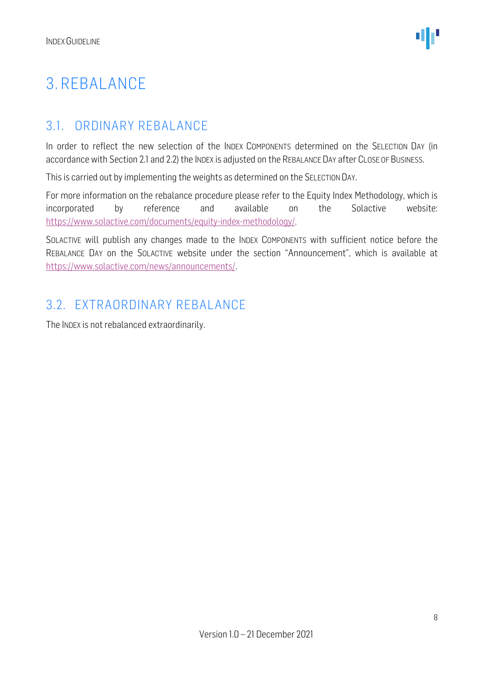### <span id="page-7-0"></span>3. REBALANCE

#### <span id="page-7-1"></span>3.1. ORDINARY REBALANCE

In order to reflect the new selection of the INDEX COMPONENTS determined on the SELECTION DAY (in accordance with Section 2.1 and 2.2) the INDEX is adjusted on the REBALANCE DAY after CLOSE OF BUSINESS.

This is carried out by implementing the weights as determined on the SELECTION DAY.

For more information on the rebalance procedure please refer to the Equity Index Methodology, which is incorporated by reference and available on the Solactive website: [https://www.solactive.com/documents/equity-index-methodology/.](https://www.solactive.com/documents/equity-index-methodology/)

SOLACTIVE will publish any changes made to the INDEX COMPONENTS with sufficient notice before the REBALANCE DAY on the SOLACTIVE website under the section "Announcement", which is available at [https://www.solactive.com/news/announcements/.](https://www.solactive.com/news/announcements/)

#### <span id="page-7-2"></span>3.2. EXTRAORDINARY REBALANCE

The INDEX is not rebalanced extraordinarily.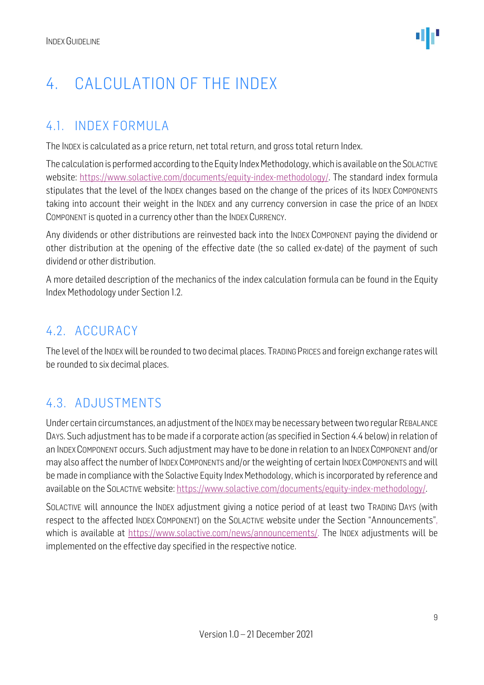### <span id="page-8-0"></span>4. CALCULATION OF THE INDEX

#### <span id="page-8-1"></span>4.1. INDEX FORMULA

The INDEX is calculated as a price return, net total return, and gross total return Index.

The calculation is performed according to the Equity Index Methodology, which is available on the SOLACTIVE website: [https://www.solactive.com/documents/equity-index-methodology/.](https://www.solactive.com/documents/equity-index-methodology/) The standard index formula stipulates that the level of the INDEX changes based on the change of the prices of its INDEX COMPONENTS taking into account their weight in the INDEX and any currency conversion in case the price of an INDEX COMPONENT is quoted in a currency other than the INDEX CURRENCY.

Any dividends or other distributions are reinvested back into the INDEX COMPONENT paying the dividend or other distribution at the opening of the effective date (the so called ex-date) of the payment of such dividend or other distribution.

A more detailed description of the mechanics of the index calculation formula can be found in the Equity Index Methodology under Section 1.2.

#### <span id="page-8-2"></span>4.2. ACCURACY

The level of the INDEXwill be rounded to two decimal places. TRADING PRICES and foreign exchange rates will be rounded to six decimal places.

#### <span id="page-8-3"></span>4.3. ADJUSTMENTS

Under certain circumstances, an adjustment of the INDEX may be necessary between two regular REBALANCE DAYS. Such adjustment has to be made if a corporate action (as specified in Section 4.4 below) in relation of an INDEX COMPONENT occurs. Such adjustment may have to be done in relation to an INDEX COMPONENT and/or may also affect the number of INDEX COMPONENTS and/or the weighting of certain INDEX COMPONENTS and will be made in compliance with the Solactive Equity Index Methodology, which is incorporated by reference and available on the SOLACTIVE website: [https://www.solactive.com/documents/equity-index-methodology/.](https://www.solactive.com/documents/equity-index-methodology/)

SOLACTIVE will announce the INDEX adjustment giving a notice period of at least two TRADING DAYS (with respect to the affected INDEX COMPONENT) on the SOLACTIVE website under the Section "Announcements", which is available at https://www.solactive.com/news/announcements/. The INDEX adjustments will be implemented on the effective day specified in the respective notice.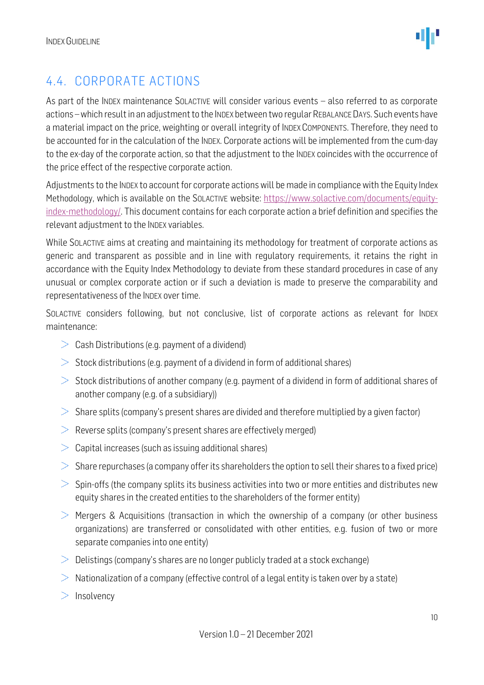

#### <span id="page-9-0"></span>4.4. CORPORATE ACTIONS

As part of the INDEX maintenance SOLACTIVE will consider various events - also referred to as corporate actions –which result in an adjustment to the INDEX between two regular REBALANCE DAYS. Such events have a material impact on the price, weighting or overall integrity of INDEX COMPONENTS. Therefore, they need to be accounted for in the calculation of the INDEX. Corporate actions will be implemented from the cum-day to the ex-day of the corporate action, so that the adjustment to the INDEX coincides with the occurrence of the price effect of the respective corporate action.

Adjustments to the INDEX to account for corporate actions will be made in compliance with the Equity Index Methodology, which is available on the SOLACTIVE website: [https://www.solactive.com/documents/equity](https://www.solactive.com/documents/equity-index-methodology/)[index-methodology/.](https://www.solactive.com/documents/equity-index-methodology/) This document contains for each corporate action a brief definition and specifies the relevant adjustment to the INDEX variables.

While SOLACTIVE aims at creating and maintaining its methodology for treatment of corporate actions as generic and transparent as possible and in line with regulatory requirements, it retains the right in accordance with the Equity Index Methodology to deviate from these standard procedures in case of any unusual or complex corporate action or if such a deviation is made to preserve the comparability and representativeness of the INDEX over time.

SOLACTIVE considers following, but not conclusive, list of corporate actions as relevant for INDEX maintenance:

- $\geq$  Cash Distributions (e.g. payment of a dividend)
- $>$  Stock distributions (e.g. payment of a dividend in form of additional shares)
- $>$  Stock distributions of another company (e.g. payment of a dividend in form of additional shares of another company (e.g. of a subsidiary))
- $>$  Share splits (company's present shares are divided and therefore multiplied by a given factor)
- $\geq$  Reverse splits (company's present shares are effectively merged)
- $>$  Capital increases (such as issuing additional shares)
- $>$  Share repurchases (a company offer its shareholders the option to sell their shares to a fixed price)
- $>$  Spin-offs (the company splits its business activities into two or more entities and distributes new equity shares in the created entities to the shareholders of the former entity)
- $>$  Mergers & Acquisitions (transaction in which the ownership of a company (or other business organizations) are transferred or consolidated with other entities, e.g. fusion of two or more separate companies into one entity)
- $\geq$  Delistings (company's shares are no longer publicly traded at a stock exchange)
- $>$  Nationalization of a company (effective control of a legal entity is taken over by a state)
- $>$  Insolvency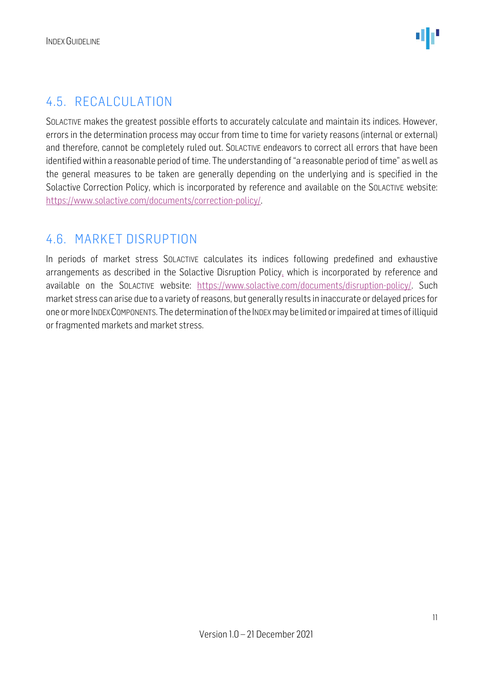#### <span id="page-10-0"></span>4.5. RECALCULATION

SOLACTIVE makes the greatest possible efforts to accurately calculate and maintain its indices. However, errors in the determination process may occur from time to time for variety reasons (internal or external) and therefore, cannot be completely ruled out. SOLACTIVE endeavors to correct all errors that have been identified within a reasonable period of time. The understanding of "a reasonable period of time" as well as the general measures to be taken are generally depending on the underlying and is specified in the Solactive Correction Policy, which is incorporated by reference and available on the SOLACTIVE website: [https://www.solactive.com/documents/correction-policy/.](https://www.solactive.com/documents/correction-policy/)

#### <span id="page-10-1"></span>4.6. MARKET DISRUPTION

In periods of market stress SOLACTIVE calculates its indices following predefined and exhaustive arrangements as described in the Solactive Disruption Policy, which is incorporated by reference and available on the SOLACTIVE website: [https://www.solactive.com/documents/disruption-policy/.](https://www.solactive.com/documents/disruption-policy/) Such market stress can arise due to a variety of reasons, but generally results in inaccurate or delayed prices for one or more INDEXCOMPONENTS. The determination of the INDEXmay be limited or impaired at times of illiquid or fragmented markets and market stress.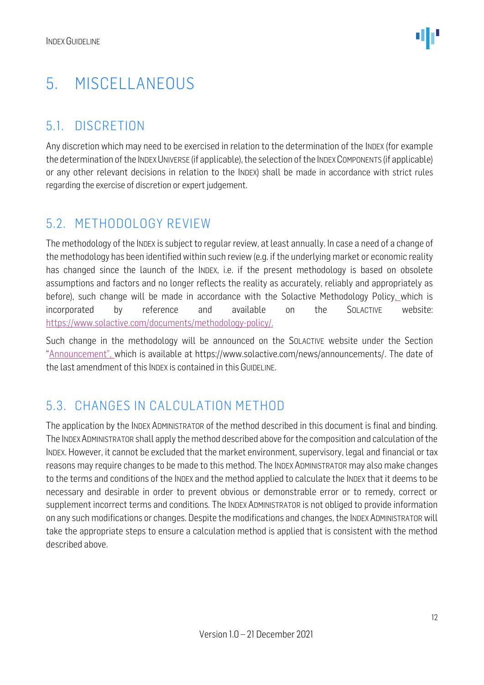### <span id="page-11-0"></span>5. MISCELLANEOUS

#### <span id="page-11-1"></span>5.1. DISCRETION

Any discretion which may need to be exercised in relation to the determination of the INDEX (for example the determination of the INDEX UNIVERSE (if applicable), the selection of the INDEX COMPONENTS (if applicable) or any other relevant decisions in relation to the INDEX) shall be made in accordance with strict rules regarding the exercise of discretion or expert judgement.

#### <span id="page-11-2"></span>5.2. METHODOLOGY REVIEW

The methodology of the INDEX is subject to regular review, at least annually. In case a need of a change of the methodology has been identified within such review (e.g. if the underlying market or economic reality has changed since the launch of the INDEX, i.e. if the present methodology is based on obsolete assumptions and factors and no longer reflects the reality as accurately, reliably and appropriately as before), such change will be made in accordance with the Solactive Methodology Policy, which is incorporated by reference and available on the SOLACTIVE website: [https://www.solactive.com/documents/methodology-policy/.](https://www.solactive.com/documents/methodology-policy/)

Such change in the methodology will be announced on the SOLACTIVE website under the Section "Announcement", which is available at https://www.solactive.com/news/announcements/. The date of the last amendment of this INDEX is contained in this GUIDELINE.

#### <span id="page-11-3"></span>5.3. CHANGES IN CALCULATION METHOD

The application by the INDEX ADMINISTRATOR of the method described in this document is final and binding. The INDEXADMINISTRATOR shall apply the method described above for the composition and calculation of the INDEX. However, it cannot be excluded that the market environment, supervisory, legal and financial or tax reasons may require changes to be made to this method. The INDEX ADMINISTRATOR may also make changes to the terms and conditions of the INDEX and the method applied to calculate the INDEX that it deems to be necessary and desirable in order to prevent obvious or demonstrable error or to remedy, correct or supplement incorrect terms and conditions. The INDEX ADMINISTRATOR is not obliged to provide information on any such modifications or changes. Despite the modifications and changes, the INDEX ADMINISTRATOR will take the appropriate steps to ensure a calculation method is applied that is consistent with the method described above.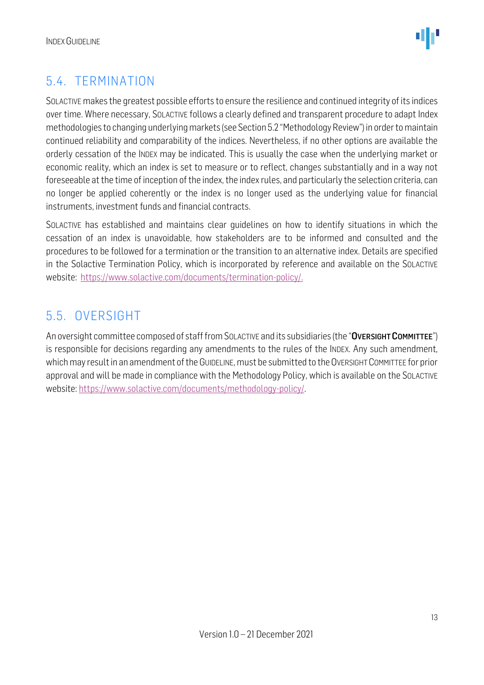

#### <span id="page-12-0"></span>5.4. TERMINATION

SOLACTIVE makes the greatest possible efforts to ensure the resilience and continued integrity of its indices over time. Where necessary, SOLACTIVE follows a clearly defined and transparent procedure to adapt Index methodologies to changing underlying markets (see Section 5.2 "Methodology Review") in order to maintain continued reliability and comparability of the indices. Nevertheless, if no other options are available the orderly cessation of the INDEX may be indicated. This is usually the case when the underlying market or economic reality, which an index is set to measure or to reflect, changes substantially and in a way not foreseeable at the time of inception of the index, the index rules, and particularly the selection criteria, can no longer be applied coherently or the index is no longer used as the underlying value for financial instruments, investment funds and financial contracts.

SOLACTIVE has established and maintains clear guidelines on how to identify situations in which the cessation of an index is unavoidable, how stakeholders are to be informed and consulted and the procedures to be followed for a termination or the transition to an alternative index. Details are specified in the Solactive Termination Policy, which is incorporated by reference and available on the SOLACTIVE website: [https://www.solactive.com/documents/termination-policy/.](https://www.solactive.com/documents/termination-policy/)

#### <span id="page-12-1"></span>5.5. OVERSIGHT

An oversight committee composed of staff from SOLACTIVE and its subsidiaries (the "OVERSIGHT COMMITTEE") is responsible for decisions regarding any amendments to the rules of the INDEX. Any such amendment, which may result in an amendment of the GUIDELINE, must be submitted to the OVERSIGHT COMMITTEE for prior approval and will be made in compliance with the [Methodology](http://methodology/) Policy, which is available on the SOLACTIVE website: [https://www.solactive.com/documents/methodology-policy/.](https://www.solactive.com/documents/methodology-policy/)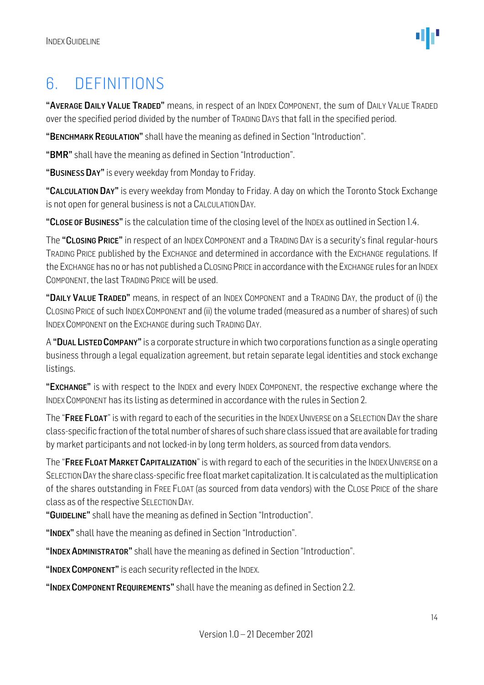### <span id="page-13-0"></span>6. DEFINITIONS

"AVERAGE DAILY VALUE TRADED" means, in respect of an INDEX COMPONENT, the sum of DAILY VALUE TRADED over the specified period divided by the number of TRADING DAYS that fall in the specified period.

"BENCHMARK REGULATION" shall have the meaning as defined in Section "Introduction".

"BMR" shall have the meaning as defined in Section "Introduction".

"BUSINESS DAY" is every weekday from Monday to Friday.

"CALCULATION DAY" is every weekday from Monday to Friday. A day on which the Toronto Stock Exchange is not open for general business is not a CALCULATION DAY.

"CLOSE OF BUSINESS" is the calculation time of the closing level of the INDEX as outlined in Section 1.4.

The "CLOSING PRICE" in respect of an INDEX COMPONENT and a TRADING DAY is a security's final regular-hours TRADING PRICE published by the EXCHANGE and determined in accordance with the EXCHANGE regulations. If the EXCHANGE has no or has not published a CLOSING PRICE in accordance with the EXCHANGE rules for an INDEX COMPONENT, the last TRADING PRICE will be used.

"DAILY VALUE TRADED" means, in respect of an INDEX COMPONENT and a TRADING DAY, the product of (i) the CLOSING PRICE of such INDEX COMPONENT and (ii) the volume traded (measured as a number of shares) of such INDEX COMPONENT on the EXCHANGE during such TRADING DAY.

A "DUAL LISTED COMPANY"is a corporate structure in which two corporations function as a single operating business through a legal equalization agreement, but retain separate legal identities and stock exchange listings.

"EXCHANGE" is with respect to the INDEX and every INDEX COMPONENT, the respective exchange where the INDEX COMPONENT has its listing as determined in accordance with the rules in Section 2.

The "FREE FLOAT" is with regard to each of the securities in the INDEX UNIVERSE on a SELECTION DAY the share class-specific fraction of the total number of shares of such share class issued that are available for trading by market participants and not locked-in by long term holders, as sourced from data vendors.

The "FREE FLOAT MARKET CAPITALIZATION" is with regard to each of the securities in the INDEX UNIVERSE on a SELECTION DAY the share class-specific free float market capitalization. It is calculated as the multiplication of the shares outstanding in FREE FLOAT (as sourced from data vendors) with the CLOSE PRICE of the share class as of the respective SELECTION DAY.

"GUIDELINE" shall have the meaning as defined in Section "Introduction".

"INDEX" shall have the meaning as defined in Section "Introduction".

"INDEX ADMINISTRATOR" shall have the meaning as defined in Section "Introduction".

"INDEX COMPONENT" is each security reflected in the INDEX.

"INDEX COMPONENT REQUIREMENTS" shall have the meaning as defined in Section 2.2.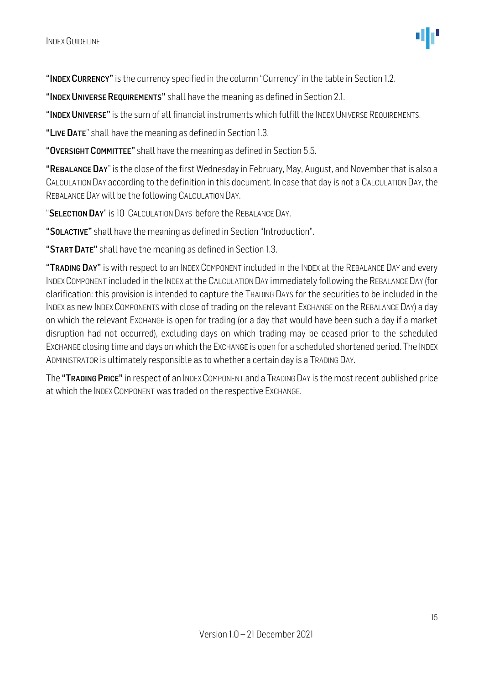"INDEX CURRENCY" is the currency specified in the column "Currency" in the table in Section 1.2.

"INDEX UNIVERSE REQUIREMENTS" shall have the meaning as defined in Section 2.1.

"INDEX UNIVERSE" is the sum of all financial instruments which fulfill the INDEX UNIVERSE REQUIREMENTS.

"LIVE DATE" shall have the meaning as defined in Section 1.3.

"OVERSIGHT COMMITTEE" shall have the meaning as defined in Section 5.5.

"REBALANCE DAY" is the close of the first Wednesday in February, May, August, and November that is also a CALCULATION DAY according to the definition in this document. In case that day is not a CALCULATION DAY, the REBALANCE DAY will be the following CALCULATION DAY.

"SELECTION DAY" is 10 CALCULATION DAYS before the REBALANCE DAY.

"SOLACTIVE" shall have the meaning as defined in Section "Introduction".

"START DATE" shall have the meaning as defined in Section 1.3.

"TRADING DAY" is with respect to an INDEX COMPONENT included in the INDEX at the REBALANCE DAY and every INDEXCOMPONENT included in the INDEX at the CALCULATION DAY immediately following the REBALANCE DAY (for clarification: this provision is intended to capture the TRADING DAYS for the securities to be included in the INDEX as new INDEX COMPONENTS with close of trading on the relevant EXCHANGE on the REBALANCE DAY) a day on which the relevant EXCHANGE is open for trading (or a day that would have been such a day if a market disruption had not occurred), excluding days on which trading may be ceased prior to the scheduled EXCHANGE closing time and days on which the EXCHANGE is open for a scheduled shortened period. The INDEX ADMINISTRATOR is ultimately responsible as to whether a certain day is a TRADING DAY.

The "TRADING PRICE" in respect of an INDEX COMPONENT and a TRADING DAY is the most recent published price at which the INDEX COMPONENT was traded on the respective EXCHANGE.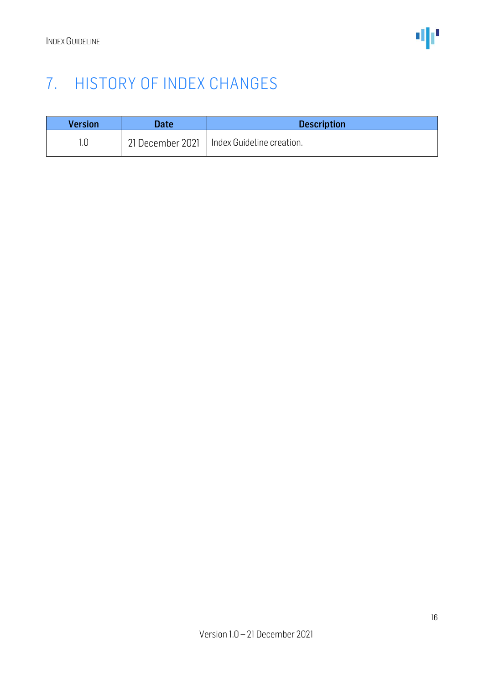### <span id="page-15-0"></span>7. HISTORY OF INDEX CHANGES

| <b>Version</b> | <b>Date</b>      | <b>Description</b>        |
|----------------|------------------|---------------------------|
|                | 21 December 2021 | Index Guideline creation. |